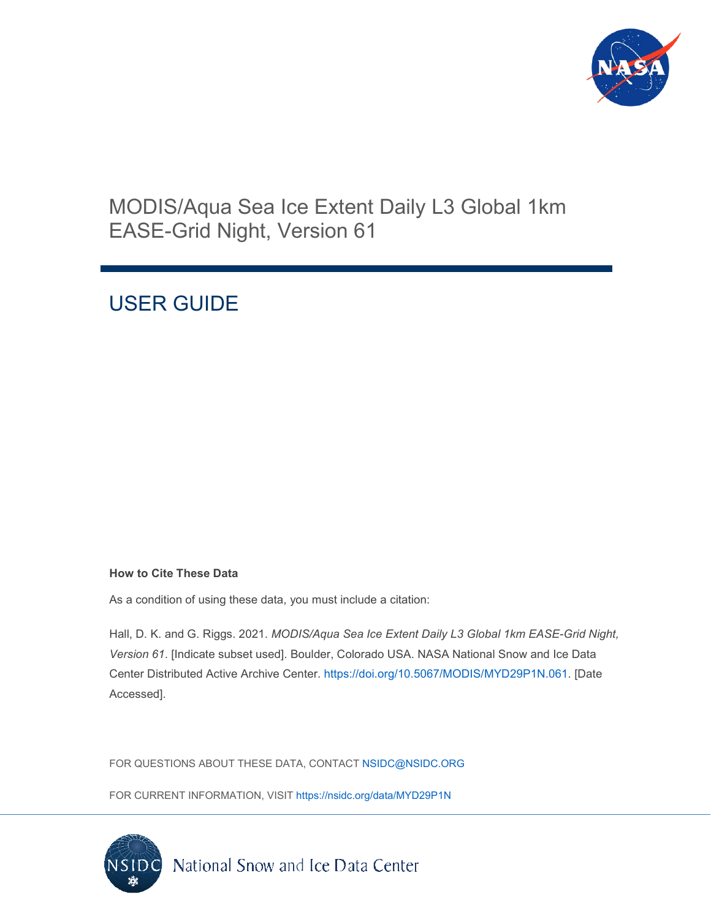

## MODIS/Aqua Sea Ice Extent Daily L3 Global 1km EASE-Grid Night, Version 61

# USER GUIDE

#### **How to Cite These Data**

As a condition of using these data, you must include a citation:

Hall, D. K. and G. Riggs. 2021. *MODIS/Aqua Sea Ice Extent Daily L3 Global 1km EASE-Grid Night, Version 61*. [Indicate subset used]. Boulder, Colorado USA. NASA National Snow and Ice Data Center Distributed Active Archive Center. [https://doi.org/10.5067/MODIS/MYD29P1N.061.](https://doi.org/10.5067/MODIS/MYD29P1N.061) [Date Accessed].

FOR QUESTIONS ABOUT THESE DATA, CONTACT [NSIDC@NSIDC.ORG](mailto:nsidc@nsidc.org)

FOR CURRENT INFORMATION, VISIT<https://nsidc.org/data/MYD29P1N>

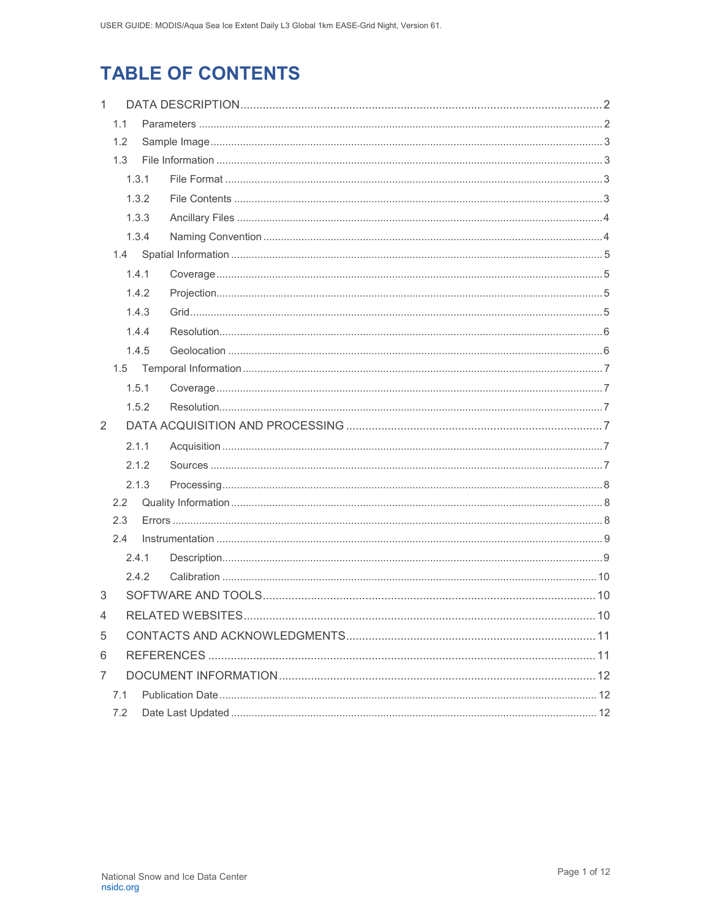# **TABLE OF CONTENTS**

| $\mathbf{1}$      |     |            |  |  |  |  |
|-------------------|-----|------------|--|--|--|--|
| 1.1<br>1.2<br>1.3 |     |            |  |  |  |  |
|                   |     |            |  |  |  |  |
|                   |     |            |  |  |  |  |
|                   |     | 1.3.1      |  |  |  |  |
| 1.3.2             |     |            |  |  |  |  |
|                   |     | 1.3.3      |  |  |  |  |
|                   |     | 1.3.4      |  |  |  |  |
|                   |     |            |  |  |  |  |
|                   |     | 1.4.1      |  |  |  |  |
|                   |     | 1.4.2      |  |  |  |  |
|                   |     | 1.4.3      |  |  |  |  |
|                   |     | 1.4.4      |  |  |  |  |
|                   |     | 1.4.5      |  |  |  |  |
|                   |     |            |  |  |  |  |
|                   |     | 1.5.1      |  |  |  |  |
|                   |     | 1.5.2      |  |  |  |  |
| 2                 |     |            |  |  |  |  |
|                   |     | 2.1.1      |  |  |  |  |
|                   |     | 2.1.2      |  |  |  |  |
|                   |     | 2.1.3      |  |  |  |  |
|                   | 2.2 |            |  |  |  |  |
|                   | 2.3 |            |  |  |  |  |
|                   | 2.4 |            |  |  |  |  |
|                   |     | 2.4.1      |  |  |  |  |
|                   |     | 242        |  |  |  |  |
| 3                 |     |            |  |  |  |  |
| 4                 |     | $\dots$ 10 |  |  |  |  |
| 5                 |     |            |  |  |  |  |
| 6                 |     |            |  |  |  |  |
| 7                 |     |            |  |  |  |  |
|                   | 7.1 |            |  |  |  |  |
| 7.2               |     |            |  |  |  |  |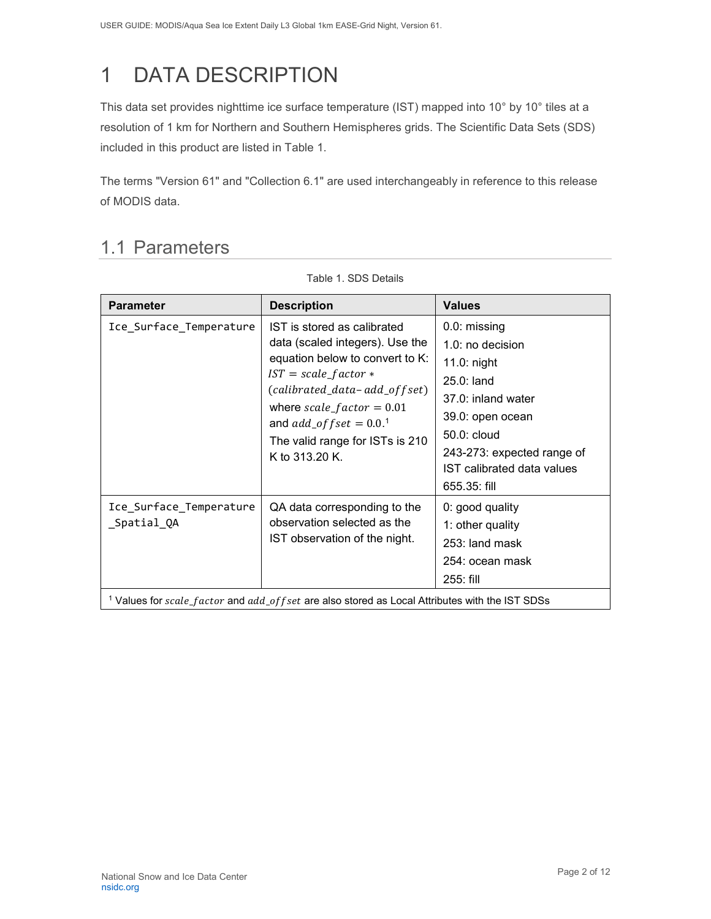# <span id="page-2-0"></span>1 DATA DESCRIPTION

This data set provides nighttime ice surface temperature (IST) mapped into 10° by 10° tiles at a resolution of 1 km for Northern and Southern Hemispheres grids. The Scientific Data Sets (SDS) included in this product are listed in Table 1.

The terms "Version 61" and "Collection 6.1" are used interchangeably in reference to this release of MODIS data.

### <span id="page-2-1"></span>1.1 Parameters

| <b>Parameter</b>                       | <b>Description</b>                                                                                                                                                                                                                                                                        | <b>Values</b>                                                                                                                                                                                        |
|----------------------------------------|-------------------------------------------------------------------------------------------------------------------------------------------------------------------------------------------------------------------------------------------------------------------------------------------|------------------------------------------------------------------------------------------------------------------------------------------------------------------------------------------------------|
| Ice_Surface_Temperature                | IST is stored as calibrated<br>data (scaled integers). Use the<br>equation below to convert to K:<br>$IST = scale_factor *$<br>(calibrated_data-add_offset)<br>where $scale_factor = 0.01$<br>and $add\_offset = 0.0$ . <sup>1</sup><br>The valid range for ISTs is 210<br>K to 313.20 K. | 0.0: missing<br>1.0: no decision<br>11.0: night<br>$25.0:$ land<br>37.0: inland water<br>39.0: open ocean<br>50.0: cloud<br>243-273: expected range of<br>IST calibrated data values<br>655.35: fill |
| Ice_Surface_Temperature<br>_Spatial_QA | QA data corresponding to the<br>observation selected as the<br>IST observation of the night.<br><sup>1</sup> Values for scale_factor and add_of fset are also stored as Local Attributes with the IST SDSs                                                                                | 0: good quality<br>1: other quality<br>253: land mask<br>254: ocean mask<br>$255:$ fill                                                                                                              |

Table 1. SDS Details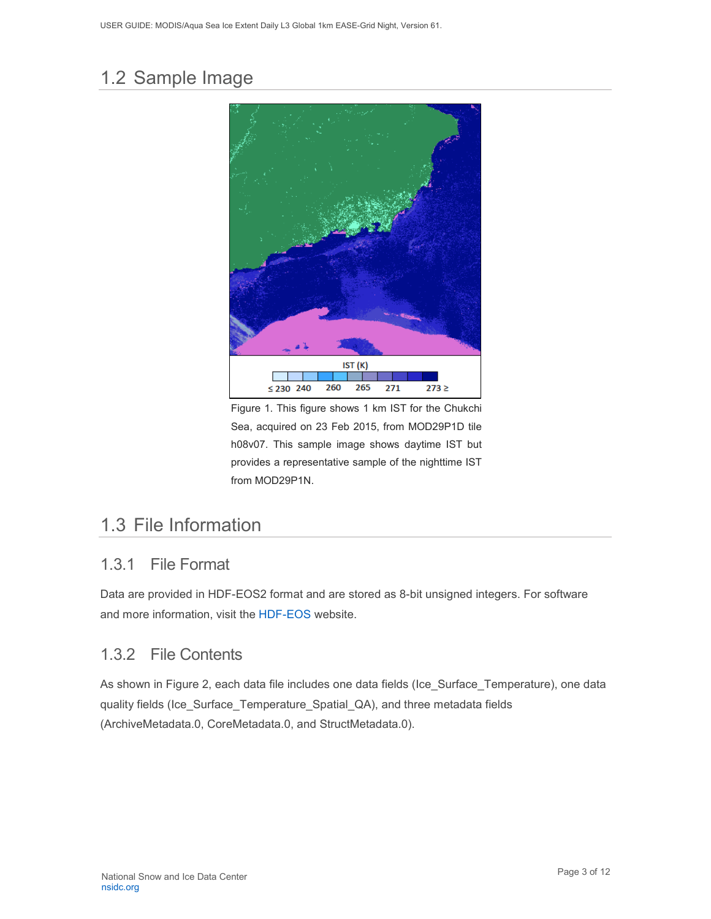## <span id="page-3-0"></span>1.2 Sample Image



Figure 1. This figure shows 1 km IST for the Chukchi Sea, acquired on 23 Feb 2015, from MOD29P1D tile h08v07. This sample image shows daytime IST but provides a representative sample of the nighttime IST from MOD29P1N.

## <span id="page-3-1"></span>1.3 File Information

#### <span id="page-3-2"></span>1.3.1 File Format

Data are provided in HDF-EOS2 format and are stored as 8-bit unsigned integers. For software and more information, visit the [HDF-EOS](https://portal.hdfgroup.org/display/support) website.

#### <span id="page-3-3"></span>1.3.2 File Contents

As shown in Figure 2, each data file includes one data fields (Ice\_Surface\_Temperature), one data quality fields (Ice\_Surface\_Temperature\_Spatial\_QA), and three metadata fields (ArchiveMetadata.0, CoreMetadata.0, and StructMetadata.0).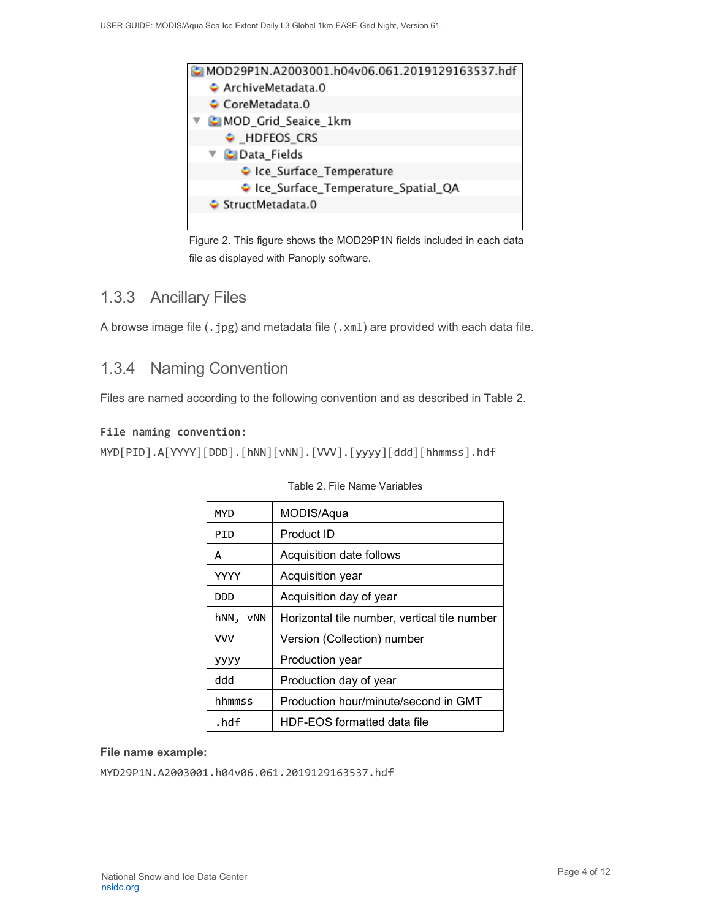

Figure 2. This figure shows the MOD29P1N fields included in each data file as displayed with Panoply software.

#### <span id="page-4-0"></span>1.3.3 Ancillary Files

A browse image file (.jpg) and metadata file (.xml) are provided with each data file.

#### <span id="page-4-1"></span>1.3.4 Naming Convention

Files are named according to the following convention and as described in Table 2.

#### **File naming convention:**

```
MYD[PID].A[YYYY][DDD].[hNN][vNN].[VVV].[yyyy][ddd][hhmmss].hdf
```

| <b>MYD</b>  | MODIS/Aqua                                   |  |  |
|-------------|----------------------------------------------|--|--|
| PID         | Product ID                                   |  |  |
| А           | Acquisition date follows                     |  |  |
| <b>YYYY</b> | Acquisition year                             |  |  |
| <b>DDD</b>  | Acquisition day of year                      |  |  |
| hNN,<br>vNN | Horizontal tile number, vertical tile number |  |  |
| <b>VVV</b>  | Version (Collection) number                  |  |  |
| уууу        | Production year                              |  |  |
| ddd         | Production day of year                       |  |  |
| hhmmss      | Production hour/minute/second in GMT         |  |  |
| .hdf        | HDF-EOS formatted data file                  |  |  |

#### Table 2. File Name Variables

#### **File name example:**

MYD29P1N.A2003001.h04v06.061.2019129163537.hdf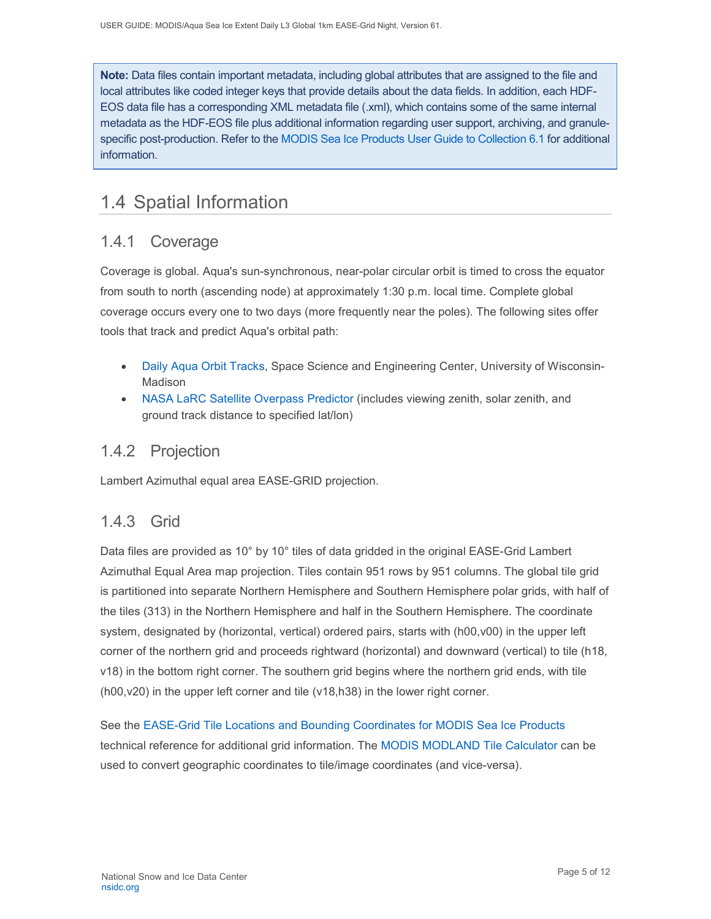**Note:** Data files contain important metadata, including global attributes that are assigned to the file and local attributes like coded integer keys that provide details about the data fields. In addition, each HDF-EOS data file has a corresponding XML metadata file (.xml), which contains some of the same internal metadata as the HDF-EOS file plus additional information regarding user support, archiving, and granulespecific post-production. Refer to the [MODIS Sea Ice Products User Guide to Collection 6.1](https://nsidc.org/sites/nsidc.org/files/technical-references/MOD29_C61_UserGuide.pdf) for additional information.

## <span id="page-5-0"></span>1.4 Spatial Information

### <span id="page-5-1"></span>1.4.1 Coverage

Coverage is global. Aqua's sun-synchronous, near-polar circular orbit is timed to cross the equator from south to north (ascending node) at approximately 1:30 p.m. local time. Complete global coverage occurs every one to two days (more frequently near the poles). The following sites offer tools that track and predict Aqua's orbital path:

- [Daily Aqua Orbit Tracks,](http://www.ssec.wisc.edu/datacenter/aqua/GLOBAL.html) Space Science and Engineering Center, University of Wisconsin-Madison
- [NASA LaRC Satellite Overpass Predictor](https://cloudsway2.larc.nasa.gov/cgi-bin/predict/predict.cgi) (includes viewing zenith, solar zenith, and ground track distance to specified lat/lon)

### <span id="page-5-2"></span>1.4.2 Projection

Lambert Azimuthal equal area EASE-GRID projection.

#### <span id="page-5-3"></span>1.4.3 Grid

Data files are provided as 10° by 10° tiles of data gridded in the original EASE-Grid Lambert Azimuthal Equal Area map projection. Tiles contain 951 rows by 951 columns. The global tile grid is partitioned into separate Northern Hemisphere and Southern Hemisphere polar grids, with half of the tiles (313) in the Northern Hemisphere and half in the Southern Hemisphere. The coordinate system, designated by (horizontal, vertical) ordered pairs, starts with (h00,v00) in the upper left corner of the northern grid and proceeds rightward (horizontal) and downward (vertical) to tile (h18, v18) in the bottom right corner. The southern grid begins where the northern grid ends, with tile (h00,v20) in the upper left corner and tile (v18,h38) in the lower right corner.

See the [EASE-Grid Tile Locations and Bounding Coordinates for MODIS Sea Ice Products](https://nsidc.org/sites/nsidc.org/files/technical-references/EASE-Grid-Tile-Locations-Bounding-Coordinates-MODIS-Sea-Ice.pdf) technical reference for additional grid information. The [MODIS MODLAND Tile Calculator](http://landweb.nascom.nasa.gov/cgi-bin/developer/tilemap.cgi) can be used to convert geographic coordinates to tile/image coordinates (and vice-versa).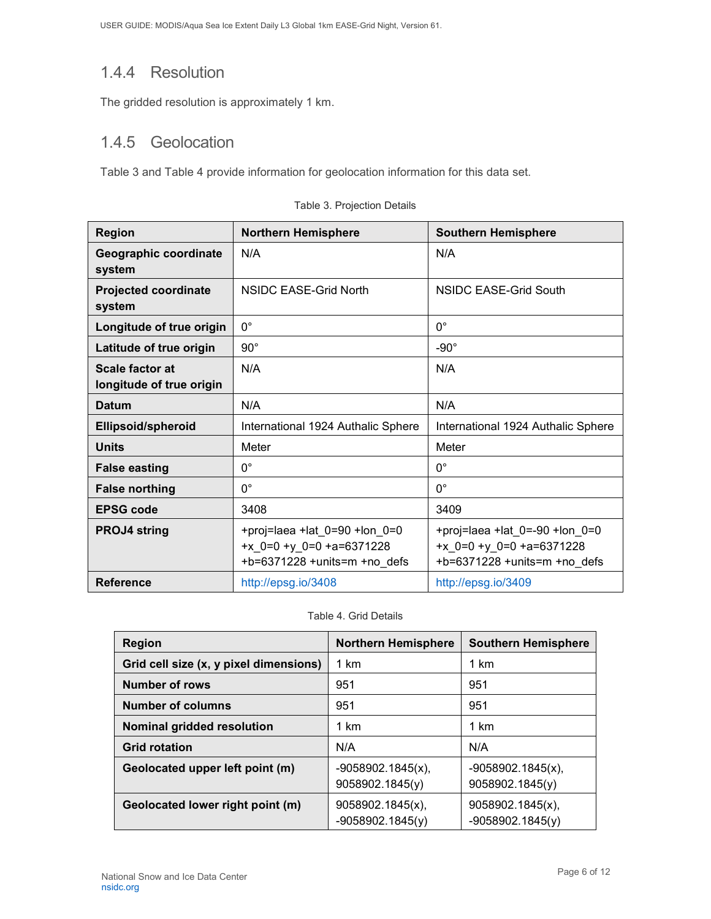### <span id="page-6-0"></span>1.4.4 Resolution

The gridded resolution is approximately 1 km.

### <span id="page-6-1"></span>1.4.5 Geolocation

Table 3 and Table 4 provide information for geolocation information for this data set.

| <b>Region</b>                               | <b>Northern Hemisphere</b>                                                                          | <b>Southern Hemisphere</b>                                                                           |  |
|---------------------------------------------|-----------------------------------------------------------------------------------------------------|------------------------------------------------------------------------------------------------------|--|
| Geographic coordinate<br>system             | N/A                                                                                                 | N/A                                                                                                  |  |
| <b>Projected coordinate</b><br>system       | NSIDC EASE-Grid North                                                                               | NSIDC EASE-Grid South                                                                                |  |
| Longitude of true origin                    | $0^{\circ}$                                                                                         | $0^{\circ}$                                                                                          |  |
| Latitude of true origin                     | $90^{\circ}$                                                                                        | $-90^\circ$                                                                                          |  |
| Scale factor at<br>longitude of true origin | N/A                                                                                                 | N/A                                                                                                  |  |
| <b>Datum</b>                                | N/A                                                                                                 | N/A                                                                                                  |  |
| <b>Ellipsoid/spheroid</b>                   | International 1924 Authalic Sphere                                                                  | International 1924 Authalic Sphere                                                                   |  |
| <b>Units</b>                                | Meter                                                                                               | Meter                                                                                                |  |
| <b>False easting</b>                        | $0^{\circ}$                                                                                         | $0^{\circ}$                                                                                          |  |
| <b>False northing</b>                       | $0^{\circ}$                                                                                         | $0^{\circ}$                                                                                          |  |
| <b>EPSG code</b>                            | 3408                                                                                                | 3409                                                                                                 |  |
| <b>PROJ4 string</b>                         | +proj=laea +lat_0=90 +lon_0=0<br>+ $x$ 0=0 + $y$ 0=0 +a=6371228<br>$+b=6371228 + units=m + no$ defs | +proj=laea +lat_0=-90 +lon_0=0<br>+ $x$ 0=0 + $y$ 0=0 +a=6371228<br>$+b=6371228 + units=m + no$ defs |  |
| <b>Reference</b>                            | http://epsg.io/3408                                                                                 | http://epsg.io/3409                                                                                  |  |

|  |  | Table 3. Projection Details |
|--|--|-----------------------------|
|  |  |                             |

Table 4. Grid Details

| <b>Region</b>                          | <b>Northern Hemisphere</b>              | <b>Southern Hemisphere</b>              |
|----------------------------------------|-----------------------------------------|-----------------------------------------|
| Grid cell size (x, y pixel dimensions) | 1 km                                    | 1 km                                    |
| <b>Number of rows</b>                  | 951                                     | 951                                     |
| <b>Number of columns</b>               | 951                                     | 951                                     |
| Nominal gridded resolution             | 1 km                                    | 1 km                                    |
| <b>Grid rotation</b>                   | N/A                                     | N/A                                     |
| Geolocated upper left point (m)        | $-9058902.1845(x)$ ,<br>9058902.1845(y) | $-9058902.1845(x)$ ,<br>9058902.1845(y) |
| Geolocated lower right point (m)       | 9058902.1845(x),<br>$-9058902.1845(y)$  | 9058902.1845(x),<br>$-9058902.1845(y)$  |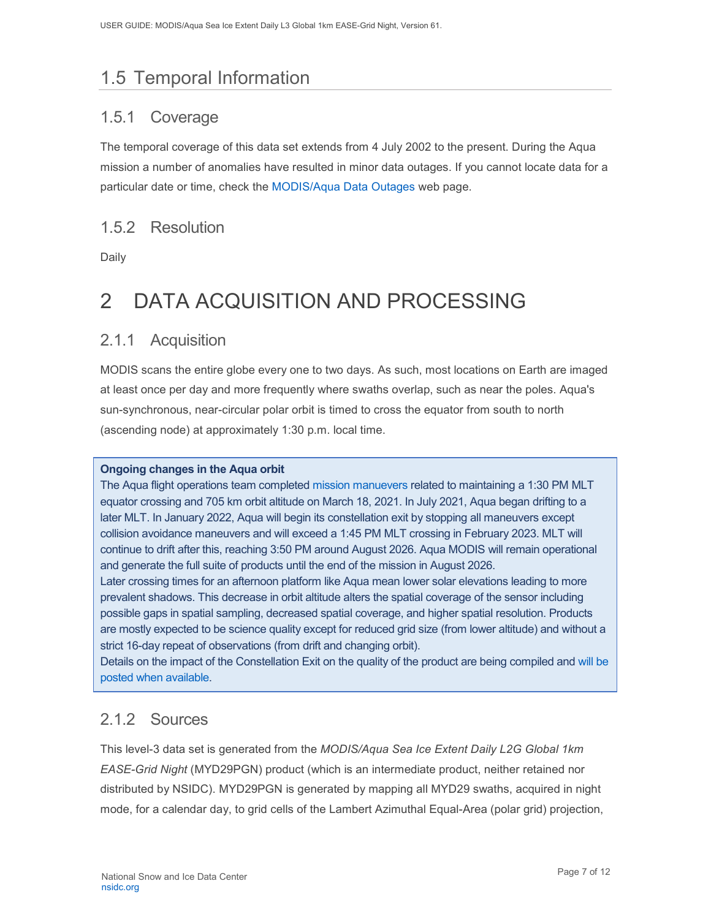# <span id="page-7-0"></span>1.5 Temporal Information

### <span id="page-7-1"></span>1.5.1 Coverage

The temporal coverage of this data set extends from 4 July 2002 to the present. During the Aqua mission a number of anomalies have resulted in minor data outages. If you cannot locate data for a particular date or time, check the [MODIS/Aqua Data Outages](http://modaps.nascom.nasa.gov/services/production/outages_aqua.html) web page.

### <span id="page-7-2"></span>1.5.2 Resolution

Daily

# <span id="page-7-3"></span>2 DATA ACQUISITION AND PROCESSING

#### <span id="page-7-4"></span>2.1.1 Acquisition

MODIS scans the entire globe every one to two days. As such, most locations on Earth are imaged at least once per day and more frequently where swaths overlap, such as near the poles. Aqua's sun-synchronous, near-circular polar orbit is timed to cross the equator from south to north (ascending node) at approximately 1:30 p.m. local time.

#### **Ongoing changes in the Aqua orbit**

The Aqua flight operations team completed [mission manuevers](https://modis.gsfc.nasa.gov/news/individual.php?news_id=100389) related to maintaining a 1:30 PM MLT equator crossing and 705 km orbit altitude on March 18, 2021. In July 2021, Aqua began drifting to a later MLT. In January 2022, Aqua will begin its constellation exit by stopping all maneuvers except collision avoidance maneuvers and will exceed a 1:45 PM MLT crossing in February 2023. MLT will continue to drift after this, reaching 3:50 PM around August 2026. Aqua MODIS will remain operational and generate the full suite of products until the end of the mission in August 2026.

Later crossing times for an afternoon platform like Aqua mean lower solar elevations leading to more prevalent shadows. This decrease in orbit altitude alters the spatial coverage of the sensor including possible gaps in spatial sampling, decreased spatial coverage, and higher spatial resolution. Products are mostly expected to be science quality except for reduced grid size (from lower altitude) and without a strict 16-day repeat of observations (from drift and changing orbit).

Details on the impact of the Constellation Exit on the quality of the product are being compiled and [will be](https://landweb.modaps.eosdis.nasa.gov/cgi-bin/QS/new/index.cgi)  [posted when available.](https://landweb.modaps.eosdis.nasa.gov/cgi-bin/QS/new/index.cgi)

### <span id="page-7-5"></span>2.1.2 Sources

This level-3 data set is generated from the *MODIS/Aqua Sea Ice Extent Daily L2G Global 1km EASE-Grid Night* (MYD29PGN) product (which is an intermediate product, neither retained nor distributed by NSIDC). MYD29PGN is generated by mapping all MYD29 swaths, acquired in night mode, for a calendar day, to grid cells of the Lambert Azimuthal Equal-Area (polar grid) projection,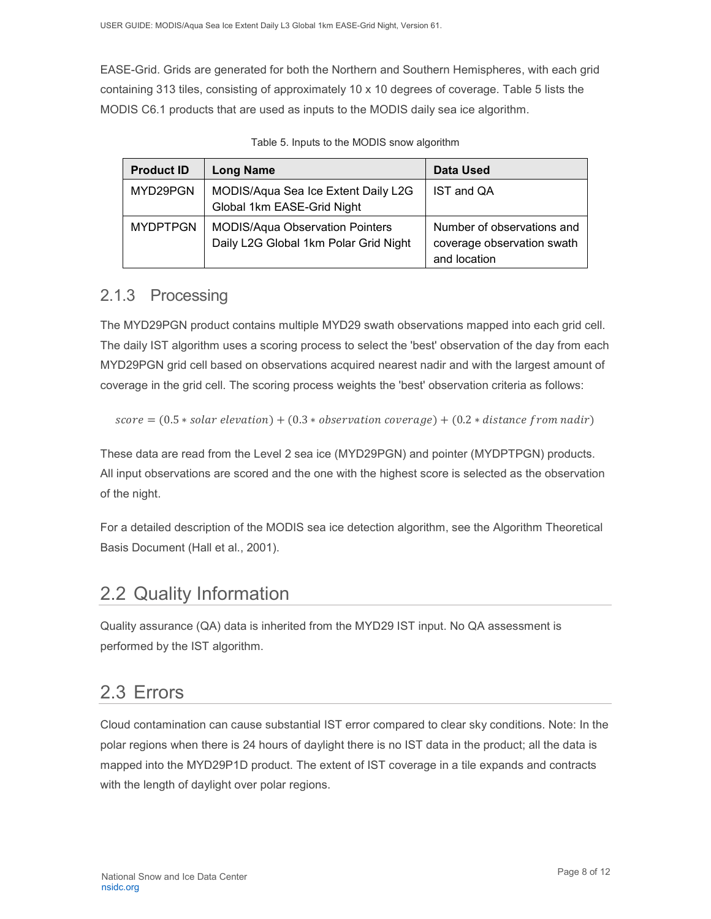EASE-Grid. Grids are generated for both the Northern and Southern Hemispheres, with each grid containing 313 tiles, consisting of approximately 10 x 10 degrees of coverage. Table 5 lists the MODIS C6.1 products that are used as inputs to the MODIS daily sea ice algorithm.

| <b>Product ID</b> | <b>Long Name</b>                                                                | Data Used                                                                |
|-------------------|---------------------------------------------------------------------------------|--------------------------------------------------------------------------|
| MYD29PGN          | MODIS/Aqua Sea Ice Extent Daily L2G<br>Global 1km EASE-Grid Night               | IST and QA                                                               |
| <b>MYDPTPGN</b>   | <b>MODIS/Aqua Observation Pointers</b><br>Daily L2G Global 1km Polar Grid Night | Number of observations and<br>coverage observation swath<br>and location |

Table 5. Inputs to the MODIS snow algorithm

#### <span id="page-8-0"></span>2.1.3 Processing

The MYD29PGN product contains multiple MYD29 swath observations mapped into each grid cell. The daily IST algorithm uses a scoring process to select the 'best' observation of the day from each MYD29PGN grid cell based on observations acquired nearest nadir and with the largest amount of coverage in the grid cell. The scoring process weights the 'best' observation criteria as follows:

 $score = (0.5 * solar elevation) + (0.3 * observation coverage) + (0.2 * distance from nadir)$ 

These data are read from the Level 2 sea ice (MYD29PGN) and pointer (MYDPTPGN) products. All input observations are scored and the one with the highest score is selected as the observation of the night.

For a detailed description of the MODIS sea ice detection algorithm, see the Algorithm Theoretical Basis Document (Hall et al., 2001).

### <span id="page-8-1"></span>2.2 Quality Information

Quality assurance (QA) data is inherited from the MYD29 IST input. No QA assessment is performed by the IST algorithm.

## <span id="page-8-2"></span>2.3 Errors

Cloud contamination can cause substantial IST error compared to clear sky conditions. Note: In the polar regions when there is 24 hours of daylight there is no IST data in the product; all the data is mapped into the MYD29P1D product. The extent of IST coverage in a tile expands and contracts with the length of daylight over polar regions.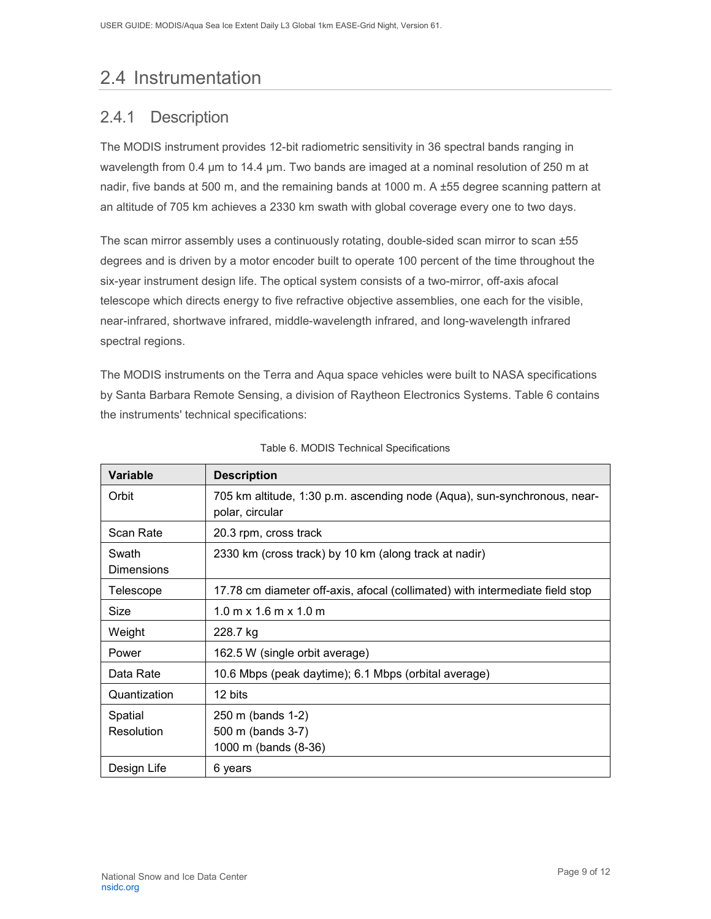## <span id="page-9-0"></span>2.4 Instrumentation

### <span id="page-9-1"></span>2.4.1 Description

The MODIS instrument provides 12-bit radiometric sensitivity in 36 spectral bands ranging in wavelength from 0.4 µm to 14.4 µm. Two bands are imaged at a nominal resolution of 250 m at nadir, five bands at 500 m, and the remaining bands at 1000 m. A ±55 degree scanning pattern at an altitude of 705 km achieves a 2330 km swath with global coverage every one to two days.

The scan mirror assembly uses a continuously rotating, double-sided scan mirror to scan ±55 degrees and is driven by a motor encoder built to operate 100 percent of the time throughout the six-year instrument design life. The optical system consists of a two-mirror, off-axis afocal telescope which directs energy to five refractive objective assemblies, one each for the visible, near-infrared, shortwave infrared, middle-wavelength infrared, and long-wavelength infrared spectral regions.

The MODIS instruments on the Terra and Aqua space vehicles were built to NASA specifications by Santa Barbara Remote Sensing, a division of Raytheon Electronics Systems. Table 6 contains the instruments' technical specifications:

| <b>Variable</b>            | <b>Description</b>                                                                          |  |  |
|----------------------------|---------------------------------------------------------------------------------------------|--|--|
| Orbit                      | 705 km altitude, 1:30 p.m. ascending node (Aqua), sun-synchronous, near-<br>polar, circular |  |  |
| Scan Rate                  | 20.3 rpm, cross track                                                                       |  |  |
| Swath<br><b>Dimensions</b> | 2330 km (cross track) by 10 km (along track at nadir)                                       |  |  |
| Telescope                  | 17.78 cm diameter off-axis, afocal (collimated) with intermediate field stop                |  |  |
| Size                       | $1.0 \text{ m} \times 1.6 \text{ m} \times 1.0 \text{ m}$                                   |  |  |
| Weight                     | 228.7 kg                                                                                    |  |  |
| Power                      | 162.5 W (single orbit average)                                                              |  |  |
| Data Rate                  | 10.6 Mbps (peak daytime); 6.1 Mbps (orbital average)                                        |  |  |
| Quantization               | 12 bits                                                                                     |  |  |
| Spatial<br>Resolution      | 250 m (bands 1-2)<br>500 m (bands 3-7)<br>1000 m (bands (8-36)                              |  |  |
| Design Life                | 6 years                                                                                     |  |  |

|  |  |  | Table 6. MODIS Technical Specifications |
|--|--|--|-----------------------------------------|
|--|--|--|-----------------------------------------|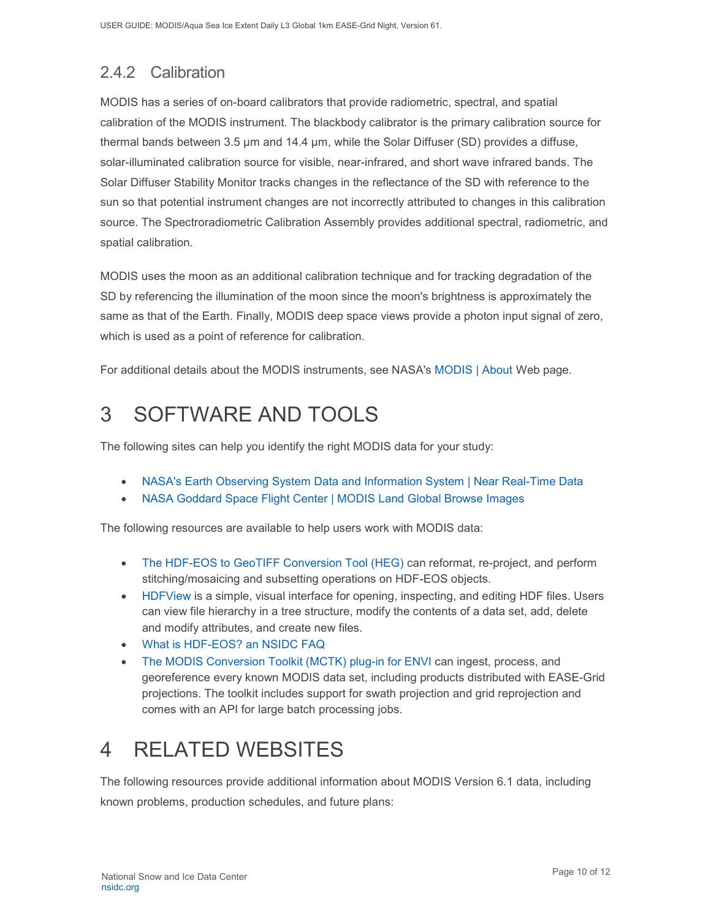## <span id="page-10-0"></span>2.4.2 Calibration

MODIS has a series of on-board calibrators that provide radiometric, spectral, and spatial calibration of the MODIS instrument. The blackbody calibrator is the primary calibration source for thermal bands between 3.5 µm and 14.4 µm, while the Solar Diffuser (SD) provides a diffuse, solar-illuminated calibration source for visible, near-infrared, and short wave infrared bands. The Solar Diffuser Stability Monitor tracks changes in the reflectance of the SD with reference to the sun so that potential instrument changes are not incorrectly attributed to changes in this calibration source. The Spectroradiometric Calibration Assembly provides additional spectral, radiometric, and spatial calibration.

MODIS uses the moon as an additional calibration technique and for tracking degradation of the SD by referencing the illumination of the moon since the moon's brightness is approximately the same as that of the Earth. Finally, MODIS deep space views provide a photon input signal of zero, which is used as a point of reference for calibration.

For additional details about the MODIS instruments, see NASA's [MODIS | About](http://modis.gsfc.nasa.gov/about/) Web page.

# <span id="page-10-1"></span>3 SOFTWARE AND TOOLS

The following sites can help you identify the right MODIS data for your study:

- [NASA's Earth Observing System Data and Information System | Near Real-Time Data](http://earthdata.nasa.gov/data/near-real-time-data/rapid-response)
- [NASA Goddard Space Flight Center | MODIS Land Global Browse Images](https://landweb.modaps.eosdis.nasa.gov/cgi-bin/browse/browseMODIS.cgi)

The following resources are available to help users work with MODIS data:

- [The HDF-EOS to GeoTIFF Conversion Tool \(HEG\)](http://newsroom.gsfc.nasa.gov/sdptoolkit/HEG/HEGHome.html) can reformat, re-project, and perform stitching/mosaicing and subsetting operations on HDF-EOS objects.
- [HDFView](http://www.hdfgroup.com/hdf-java-html/hdfview/) is a simple, visual interface for opening, inspecting, and editing HDF files. Users can view file hierarchy in a tree structure, modify the contents of a data set, add, delete and modify attributes, and create new files.
- [What is HDF-EOS? an NSIDC FAQ](https://nsidc.org/support/faq/what-hdf-eos)
- [The MODIS Conversion Toolkit \(MCTK\) plug-in for ENVI](https://github.com/dawhite/MCTK) can ingest, process, and georeference every known MODIS data set, including products distributed with EASE-Grid projections. The toolkit includes support for swath projection and grid reprojection and comes with an API for large batch processing jobs.

# <span id="page-10-2"></span>4 RELATED WEBSITES

The following resources provide additional information about MODIS Version 6.1 data, including known problems, production schedules, and future plans: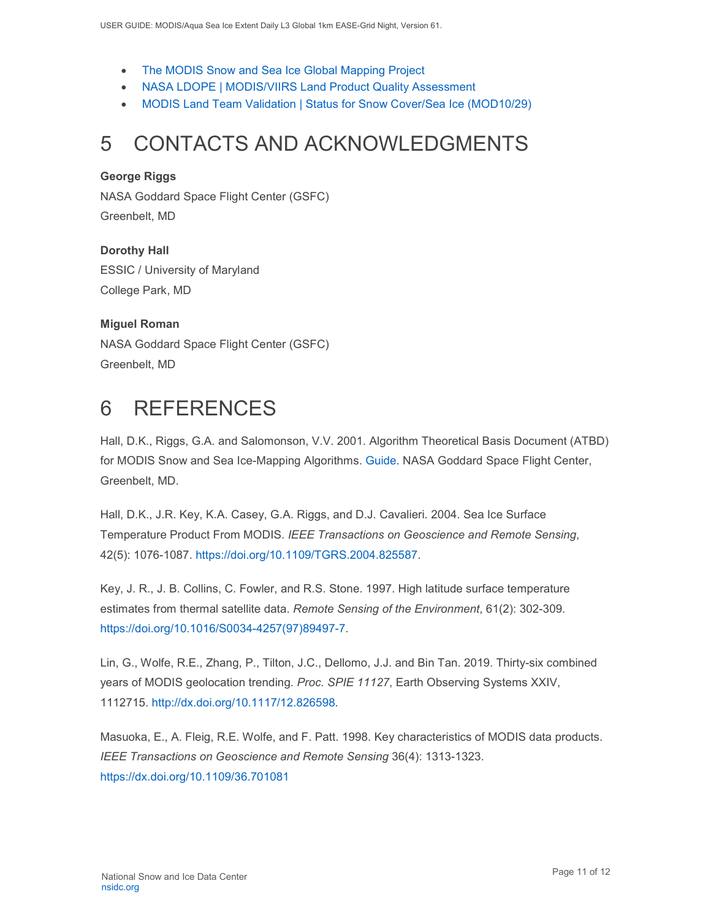- [The MODIS Snow and Sea Ice Global Mapping Project](http://modis-snow-ice.gsfc.nasa.gov/)
- [NASA LDOPE | MODIS/VIIRS Land Product Quality Assessment](https://landweb.modaps.eosdis.nasa.gov/cgi-bin/QS/new/index.cgi)
- [MODIS Land Team Validation | Status for Snow Cover/Sea Ice \(MOD10/29\)](https://modis-land.gsfc.nasa.gov/ValStatus.php?ProductID=MOD10/29)

# <span id="page-11-0"></span>5 CONTACTS AND ACKNOWLEDGMENTS

#### **George Riggs**

NASA Goddard Space Flight Center (GSFC) Greenbelt, MD

**Dorothy Hall**  ESSIC / University of Maryland College Park, MD

#### **Miguel Roman**

NASA Goddard Space Flight Center (GSFC) Greenbelt, MD

## <span id="page-11-1"></span>6 REFERENCES

Hall, D.K., Riggs, G.A. and Salomonson, V.V. 2001. Algorithm Theoretical Basis Document (ATBD) for MODIS Snow and Sea Ice-Mapping Algorithms. [Guide.](https://modis-snow-ice.gsfc.nasa.gov/?c=atbd) NASA Goddard Space Flight Center, Greenbelt, MD.

Hall, D.K., J.R. Key, K.A. Casey, G.A. Riggs, and D.J. Cavalieri. 2004. Sea Ice Surface Temperature Product From MODIS. *IEEE Transactions on Geoscience and Remote Sensing*, 42(5): 1076-1087. [https://doi.org/10.1109/TGRS.2004.825587.](https://doi.org/10.1109/TGRS.2004.825587)

Key, J. R., J. B. Collins, C. Fowler, and R.S. Stone. 1997. High latitude surface temperature estimates from thermal satellite data. *Remote Sensing of the Environment*, 61(2): 302-309. [https://doi.org/10.1016/S0034-4257\(97\)89497-7.](https://doi.org/10.1016/S0034-4257(97)89497-7)

Lin, G., Wolfe, R.E., Zhang, P., Tilton, J.C., Dellomo, J.J. and Bin Tan. 2019. Thirty-six combined years of MODIS geolocation trending. *Proc. SPIE 11127*, Earth Observing Systems XXIV, 1112715. [http://dx.doi.org/10.1117/12.826598.](http://dx.doi.org/10.1117/12.826598)

Masuoka, E., A. Fleig, R.E. Wolfe, and F. Patt. 1998. Key characteristics of MODIS data products. *IEEE Transactions on Geoscience and Remote Sensing* 36(4): 1313-1323. <https://dx.doi.org/10.1109/36.701081>